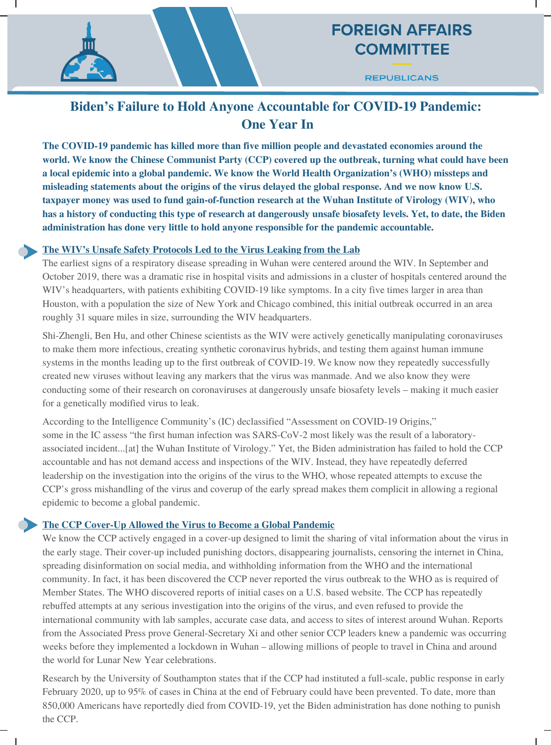## **FOREIGN AFFAIRS COMMITTEE**

**REPUBLICANS** 

### **Biden's Failure to Hold Anyone Accountable for COVID-19 Pandemic: One Year In**

**The COVID-19 pandemic has killed more than five million people and devastated economies around the world. We know the Chinese Communist Party (CCP) covered up the outbreak, turning what could have been a local epidemic into a global pandemic. We know the World Health Organization's (WHO) missteps and misleading statements about the origins of the virus delayed the global response. And we now know U.S. taxpayer money was used to fund gain-of-function research at the Wuhan Institute of Virology (WIV), who** has a history of conducting this type of research at dangerously unsafe biosafety levels. Yet, to date, the Biden **administration has done very little to hold anyone responsible for the pandemic accountable.**

#### **The WIV's Unsafe Safety Protocols Led to the Virus Leaking from the Lab**

The earliest signs of a respiratory disease spreading in Wuhan were centered around the WIV. In September and October 2019, there was a dramatic rise in hospital visits and admissions in a cluster of hospitals centered around the WIV's headquarters, with patients exhibiting COVID-19 like symptoms. In a city five times larger in area than Houston, with a population the size of New York and Chicago combined, this initial outbreak occurred in an area roughly 31 square miles in size, surrounding the WIV headquarters.

Shi-Zhengli, Ben Hu, and other Chinese scientists as the WIV were actively genetically manipulating coronaviruses to make them more infectious, creating synthetic coronavirus hybrids, and testing them against human immune systems in the months leading up to the first outbreak of COVID-19. We know now they repeatedly successfully created new viruses without leaving any markers that the virus was manmade. And we also know they were conducting some of their research on coronaviruses at dangerously unsafe biosafety levels – making it much easier for a genetically modified virus to leak.

According to the Intelligence Community's (IC) declassified "Assessment on COVID-19 Origins," some in the IC assess "the first human infection was SARS-CoV-2 most likely was the result of a laboratoryassociated incident...[at] the Wuhan Institute of Virology." Yet, the Biden administration has failed to hold the CCP accountable and has not demand access and inspections of the WIV. Instead, they have repeatedly deferred leadership on the investigation into the origins of the virus to the WHO, whose repeated attempts to excuse the CCP's gross mishandling of the virus and coverup of the early spread makes them complicit in allowing a regional epidemic to become a global pandemic.

#### **The CCP Cover-Up Allowed the Virus to Become a Global Pandemic**

We know the CCP actively engaged in a cover-up designed to limit the sharing of vital information about the virus in the early stage. Their cover-up included punishing doctors, disappearing journalists, censoring the internet in China, spreading disinformation on social media, and withholding information from the WHO and the international community. In fact, it has been discovered the CCP never reported the virus outbreak to the WHO as is required of Member States. The WHO discovered reports of initial cases on a U.S. based website. The CCP has repeatedly rebuffed attempts at any serious investigation into the origins of the virus, and even refused to provide the international community with lab samples, accurate case data, and access to sites of interest around Wuhan. Reports from the Associated Press prove General-Secretary Xi and other senior CCP leaders knew a pandemic was occurring weeks before they implemented a lockdown in Wuhan – allowing millions of people to travel in China and around the world for Lunar New Year celebrations.

Research by the University of Southampton states that if the CCP had instituted a full-scale, public response in early February 2020, up to 95% of cases in China at the end of February could have been prevented. To date, more than 850,000 Americans have reportedly died from COVID-19, yet the Biden administration has done nothing to punish the CCP.